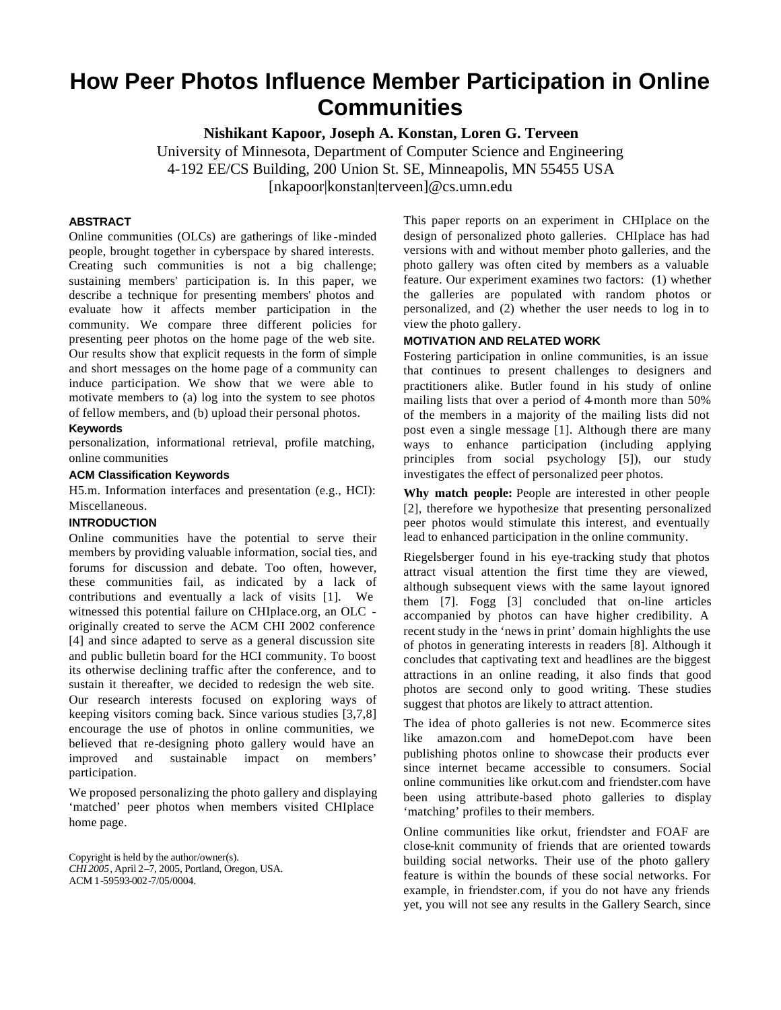# **How Peer Photos Influence Member Participation in Online Communities**

**Nishikant Kapoor, Joseph A. Konstan, Loren G. Terveen**

University of Minnesota, Department of Computer Science and Engineering 4-192 EE/CS Building, 200 Union St. SE, Minneapolis, MN 55455 USA [nkapoor|konstan|terveen]@cs.umn.edu

# **ABSTRACT**

Online communities (OLCs) are gatherings of like -minded people, brought together in cyberspace by shared interests. Creating such communities is not a big challenge; sustaining members' participation is. In this paper, we describe a technique for presenting members' photos and evaluate how it affects member participation in the community. We compare three different policies for presenting peer photos on the home page of the web site. Our results show that explicit requests in the form of simple and short messages on the home page of a community can induce participation. We show that we were able to motivate members to (a) log into the system to see photos of fellow members, and (b) upload their personal photos.

# **Keywords**

personalization, informational retrieval, profile matching, online communities

# **ACM Classification Keywords**

H5.m. Information interfaces and presentation (e.g., HCI): Miscellaneous.

## **INTRODUCTION**

Online communities have the potential to serve their members by providing valuable information, social ties, and forums for discussion and debate. Too often, however, these communities fail, as indicated by a lack of contributions and eventually a lack of visits [1]. We witnessed this potential failure on CHIplace.org, an OLC originally created to serve the ACM CHI 2002 conference [4] and since adapted to serve as a general discussion site and public bulletin board for the HCI community. To boost its otherwise declining traffic after the conference, and to sustain it thereafter, we decided to redesign the web site. Our research interests focused on exploring ways of keeping visitors coming back. Since various studies [3,7,8] encourage the use of photos in online communities, we believed that re-designing photo gallery would have an improved and sustainable impact on members' participation.

We proposed personalizing the photo gallery and displaying 'matched' peer photos when members visited CHIplace home page.

Copyright is held by the author/owner(s). *CHI 2005*, April 2–7, 2005, Portland, Oregon, USA. ACM 1-59593-002-7/05/0004.

This paper reports on an experiment in CHIplace on the design of personalized photo galleries. CHIplace has had versions with and without member photo galleries, and the photo gallery was often cited by members as a valuable feature. Our experiment examines two factors: (1) whether the galleries are populated with random photos or personalized, and (2) whether the user needs to log in to view the photo gallery.

# **MOTIVATION AND RELATED WORK**

Fostering participation in online communities, is an issue that continues to present challenges to designers and practitioners alike. Butler found in his study of online mailing lists that over a period of 4-month more than 50% of the members in a majority of the mailing lists did not post even a single message [1]. Although there are many ways to enhance participation (including applying principles from social psychology [5]), our study investigates the effect of personalized peer photos.

**Why match people:** People are interested in other people [2], therefore we hypothesize that presenting personalized peer photos would stimulate this interest, and eventually lead to enhanced participation in the online community.

Riegelsberger found in his eye-tracking study that photos attract visual attention the first time they are viewed, although subsequent views with the same layout ignored them [7]. Fogg [3] concluded that on-line articles accompanied by photos can have higher credibility. A recent study in the 'news in print' domain highlights the use of photos in generating interests in readers [8]. Although it concludes that captivating text and headlines are the biggest attractions in an online reading, it also finds that good photos are second only to good writing. These studies suggest that photos are likely to attract attention.

The idea of photo galleries is not new. Ecommerce sites like amazon.com and homeDepot.com have been publishing photos online to showcase their products ever since internet became accessible to consumers. Social online communities like orkut.com and friendster.com have been using attribute-based photo galleries to display 'matching' profiles to their members.

Online communities like orkut, friendster and FOAF are close-knit community of friends that are oriented towards building social networks. Their use of the photo gallery feature is within the bounds of these social networks. For example, in friendster.com, if you do not have any friends yet, you will not see any results in the Gallery Search, since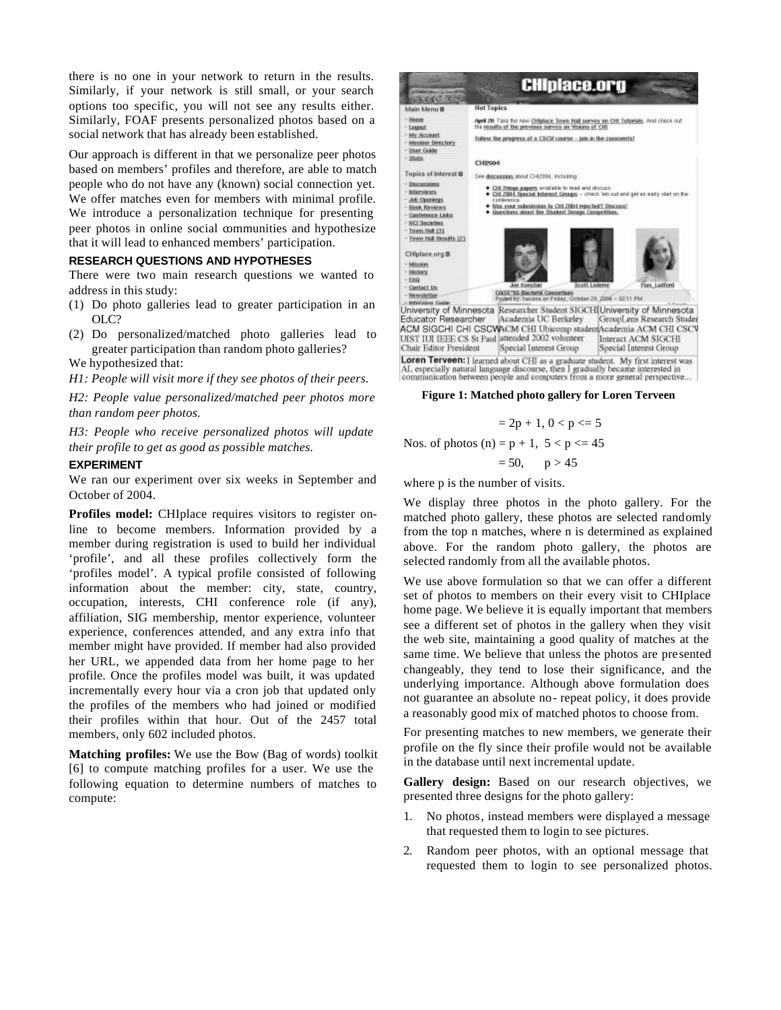there is no one in your network to return in the results. Similarly, if your network is still small, or your search options too specific, you will not see any results either. Similarly, FOAF presents personalized photos based on a social network that has already been established.

Our approach is different in that we personalize peer photos based on members' profiles and therefore, are able to match people who do not have any (known) social connection yet. We offer matches even for members with minimal profile. We introduce a personalization technique for presenting peer photos in online social communities and hypothesize that it will lead to enhanced members' participation.

# **RESEARCH QUESTIONS AND HYPOTHESES**

There were two main research questions we wanted to address in this study:

- (1) Do photo galleries lead to greater participation in an OLC?
- (2) Do personalized/matched photo galleries lead to greater participation than random photo galleries?

We hypothesized that:

*H1: People will visit more if they see photos of their peers.*

*H2: People value personalized/matched peer photos more than random peer photos.*

*H3: People who receive personalized photos will update their profile to get as good as possible matches.*

#### **EXPERIMENT**

We ran our experiment over six weeks in September and October of 2004.

**Profiles model:** CHIplace requires visitors to register online to become members. Information provided by a member during registration is used to build her individual 'profile', and all these profiles collectively form the 'profiles model'. A typical profile consisted of following information about the member: city, state, country, occupation, interests, CHI conference role (if any), affiliation, SIG membership, mentor experience, volunteer experience, conferences attended, and any extra info that member might have provided. If member had also provided her URL, we appended data from her home page to her profile. Once the profiles model was built, it was updated incrementally every hour via a cron job that updated only the profiles of the members who had joined or modified their profiles within that hour. Out of the 2457 total members, only 602 included photos.

**Matching profiles:** We use the Bow (Bag of words) toolkit [6] to compute matching profiles for a user. We use the following equation to determine numbers of matches to compute:



**Figure 1: Matched photo gallery for Loren Terveen**

$$
= 2p + 1, 0 < p < = 5
$$

Nos. of photos (n) =  $p + 1$ ,  $5 < p \le 45$ 

$$
= 50, \qquad p > 45
$$

where p is the number of visits.

We display three photos in the photo gallery. For the matched photo gallery, these photos are selected randomly from the top n matches, where n is determined as explained above. For the random photo gallery, the photos are selected randomly from all the available photos.

We use above formulation so that we can offer a different set of photos to members on their every visit to CHIplace home page. We believe it is equally important that members see a different set of photos in the gallery when they visit the web site, maintaining a good quality of matches at the same time. We believe that unless the photos are presented changeably, they tend to lose their significance, and the underlying importance. Although above formulation does not guarantee an absolute no- repeat policy, it does provide a reasonably good mix of matched photos to choose from.

For presenting matches to new members, we generate their profile on the fly since their profile would not be available in the database until next incremental update.

**Gallery design:** Based on our research objectives, we presented three designs for the photo gallery:

- 1. No photos, instead members were displayed a message that requested them to login to see pictures.
- 2. Random peer photos, with an optional message that requested them to login to see personalized photos.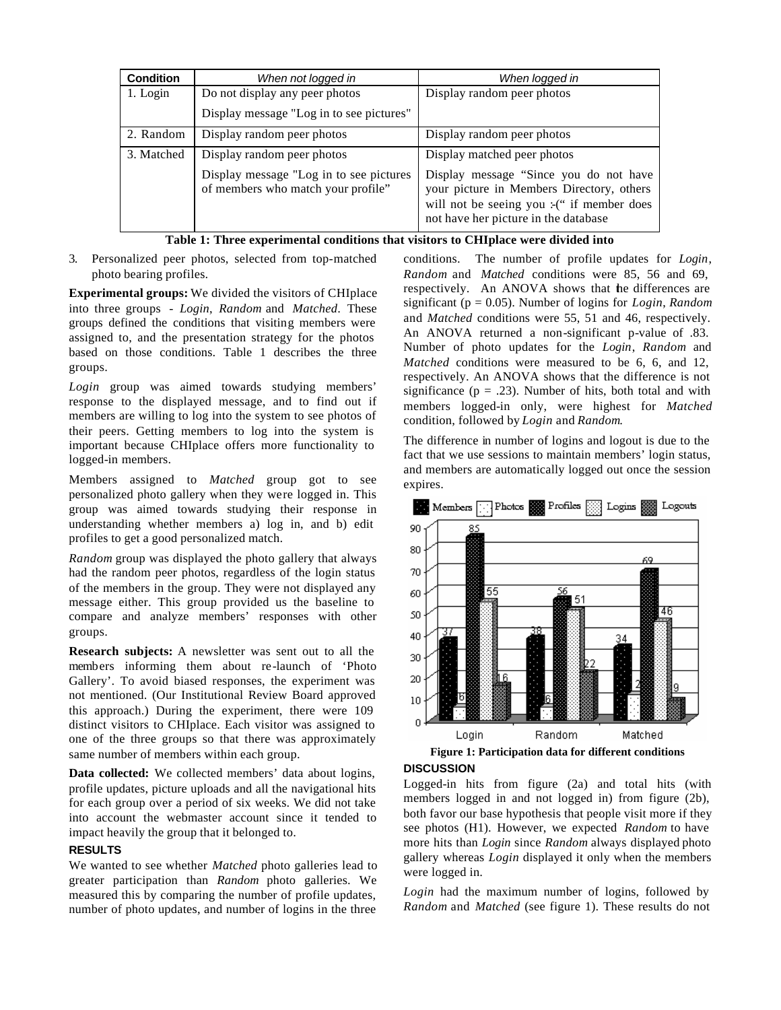| <b>Condition</b> | When not logged in                                                            | When logged in                                                                                                                                                             |
|------------------|-------------------------------------------------------------------------------|----------------------------------------------------------------------------------------------------------------------------------------------------------------------------|
| 1. Login         | Do not display any peer photos                                                | Display random peer photos                                                                                                                                                 |
|                  | Display message "Log in to see pictures"                                      |                                                                                                                                                                            |
| 2. Random        | Display random peer photos                                                    | Display random peer photos                                                                                                                                                 |
| 3. Matched       | Display random peer photos                                                    | Display matched peer photos                                                                                                                                                |
|                  | Display message "Log in to see pictures<br>of members who match your profile" | Display message "Since you do not have<br>your picture in Members Directory, others<br>will not be seeing you :- (" if member does<br>not have her picture in the database |

| Table 1: Three experimental conditions that visitors to CHIplace were divided into |
|------------------------------------------------------------------------------------|
|------------------------------------------------------------------------------------|

3. Personalized peer photos, selected from top-matched photo bearing profiles.

**Experimental groups:** We divided the visitors of CHIplace into three groups - *Login*, *Random* and *Matched*. These groups defined the conditions that visiting members were assigned to, and the presentation strategy for the photos based on those conditions. Table 1 describes the three groups.

*Login* group was aimed towards studying members' response to the displayed message, and to find out if members are willing to log into the system to see photos of their peers. Getting members to log into the system is important because CHIplace offers more functionality to logged-in members.

Members assigned to *Matched* group got to see personalized photo gallery when they were logged in. This group was aimed towards studying their response in understanding whether members a) log in, and b) edit profiles to get a good personalized match.

*Random* group was displayed the photo gallery that always had the random peer photos, regardless of the login status of the members in the group. They were not displayed any message either. This group provided us the baseline to compare and analyze members' responses with other groups.

**Research subjects:** A newsletter was sent out to all the members informing them about re-launch of 'Photo Gallery'. To avoid biased responses, the experiment was not mentioned. (Our Institutional Review Board approved this approach.) During the experiment, there were 109 distinct visitors to CHIplace. Each visitor was assigned to one of the three groups so that there was approximately same number of members within each group.

**Data collected:** We collected members' data about logins, profile updates, picture uploads and all the navigational hits for each group over a period of six weeks. We did not take into account the webmaster account since it tended to impact heavily the group that it belonged to.

# **RESULTS**

We wanted to see whether *Matched* photo galleries lead to greater participation than *Random* photo galleries. We measured this by comparing the number of profile updates, number of photo updates, and number of logins in the three

conditions. The number of profile updates for *Login*, *Random* and *Matched* conditions were 85, 56 and 69, respectively. An ANOVA shows that the differences are significant (p = 0.05). Number of logins for *Login*, *Random* and *Matched* conditions were 55, 51 and 46, respectively. An ANOVA returned a non-significant p-value of .83. Number of photo updates for the *Login*, *Random* and *Matched* conditions were measured to be 6, 6, and 12, respectively. An ANOVA shows that the difference is not significance ( $p = .23$ ). Number of hits, both total and with members logged-in only, were highest for *Matched* condition, followed by *Login* and *Random*.

The difference in number of logins and logout is due to the fact that we use sessions to maintain members' login status, and members are automatically logged out once the session expires.



## **DISCUSSION**

Logged-in hits from figure (2a) and total hits (with members logged in and not logged in) from figure (2b), both favor our base hypothesis that people visit more if they see photos (H1). However, we expected *Random* to have more hits than *Login* since *Random* always displayed photo gallery whereas *Login* displayed it only when the members were logged in.

*Login* had the maximum number of logins, followed by *Random* and *Matched* (see figure 1). These results do not